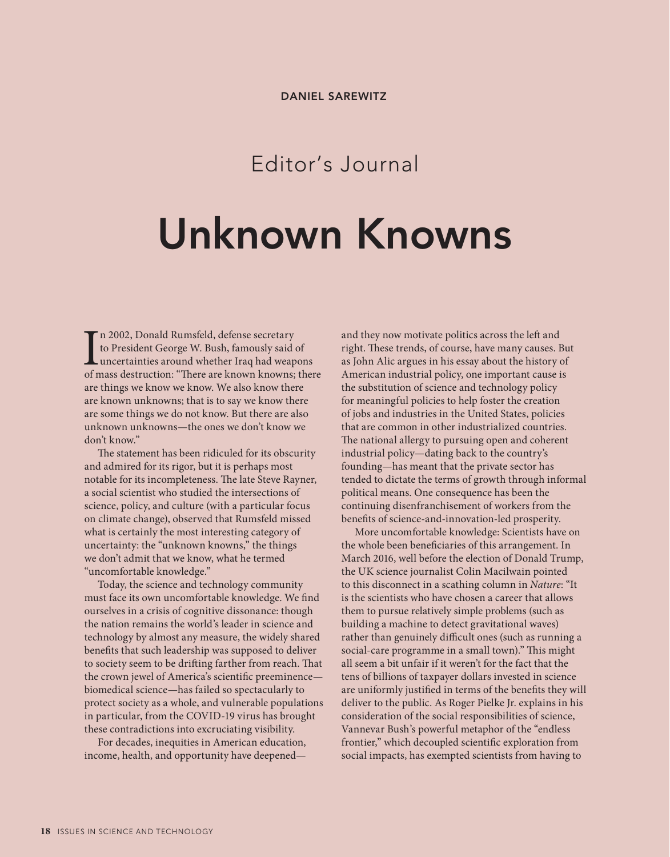## Editor's Journal

## **Unknown Knowns**

In 2002, Donald Rumsfeld, defense secretary<br>to President George W. Bush, famously said of<br>uncertainties around whether Iraq had weapons<br>of mass destruction: "There are known knowns; there n 2002, Donald Rumsfeld, defense secretary to President George W. Bush, famously said of uncertainties around whether Iraq had weapons are things we know we know. We also know there are known unknowns; that is to say we know there are some things we do not know. But there are also unknown unknowns—the ones we don't know we don't know."

The statement has been ridiculed for its obscurity and admired for its rigor, but it is perhaps most notable for its incompleteness. The late Steve Rayner, a social scientist who studied the intersections of science, policy, and culture (with a particular focus on climate change), observed that Rumsfeld missed what is certainly the most interesting category of uncertainty: the "unknown knowns," the things we don't admit that we know, what he termed "uncomfortable knowledge."

Today, the science and technology community must face its own uncomfortable knowledge. We find ourselves in a crisis of cognitive dissonance: though the nation remains the world's leader in science and technology by almost any measure, the widely shared benefits that such leadership was supposed to deliver to society seem to be drifting farther from reach. That the crown jewel of America's scientific preeminence biomedical science—has failed so spectacularly to protect society as a whole, and vulnerable populations in particular, from the COVID-19 virus has brought these contradictions into excruciating visibility.

For decades, inequities in American education, income, health, and opportunity have deepenedand they now motivate politics across the left and right. These trends, of course, have many causes. But as John Alic argues in his essay about the history of American industrial policy, one important cause is the substitution of science and technology policy for meaningful policies to help foster the creation of jobs and industries in the United States, policies that are common in other industrialized countries. The national allergy to pursuing open and coherent industrial policy—dating back to the country's founding—has meant that the private sector has tended to dictate the terms of growth through informal political means. One consequence has been the continuing disenfranchisement of workers from the benefits of science-and-innovation-led prosperity.

More uncomfortable knowledge: Scientists have on the whole been beneficiaries of this arrangement. In March 2016, well before the election of Donald Trump, the UK science journalist Colin Macilwain pointed to this disconnect in a scathing column in *Nature*: "It is the scientists who have chosen a career that allows them to pursue relatively simple problems (such as building a machine to detect gravitational waves) rather than genuinely difficult ones (such as running a social-care programme in a small town)." This might all seem a bit unfair if it weren't for the fact that the tens of billions of taxpayer dollars invested in science are uniformly justified in terms of the benefits they will deliver to the public. As Roger Pielke Jr. explains in his consideration of the social responsibilities of science, Vannevar Bush's powerful metaphor of the "endless frontier," which decoupled scientific exploration from social impacts, has exempted scientists from having to